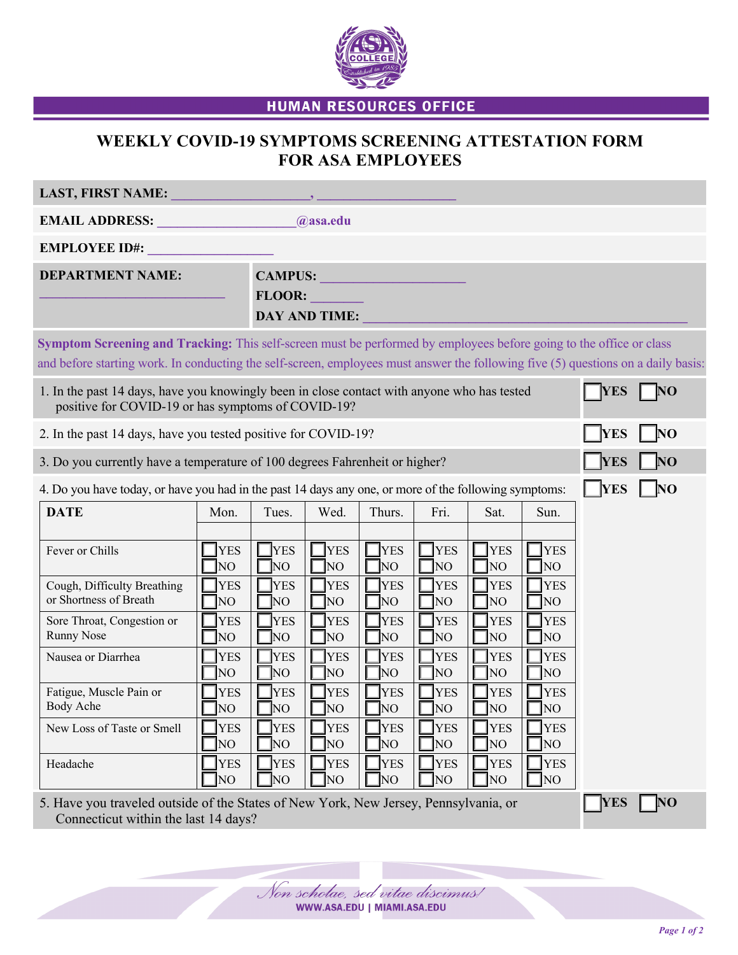

**HUMAN RESOURCES OFFICE** 

## **WEEKLY COVID-19 SYMPTOMS SCREENING ATTESTATION FORM FOR ASA EMPLOYEES**

| <b>LAST, FIRST NAME:</b>                                                                                                                                                                                                                                 |                                                                                                                                                                                  |                                                                                                                                        |                                                                                                                                                                           |                                                                                                                                       |                                                                                                                                    |                                                                                                                                    |                                                                                                                                                                           |            |    |
|----------------------------------------------------------------------------------------------------------------------------------------------------------------------------------------------------------------------------------------------------------|----------------------------------------------------------------------------------------------------------------------------------------------------------------------------------|----------------------------------------------------------------------------------------------------------------------------------------|---------------------------------------------------------------------------------------------------------------------------------------------------------------------------|---------------------------------------------------------------------------------------------------------------------------------------|------------------------------------------------------------------------------------------------------------------------------------|------------------------------------------------------------------------------------------------------------------------------------|---------------------------------------------------------------------------------------------------------------------------------------------------------------------------|------------|----|
| <b>EMAIL ADDRESS:</b><br>@asa.edu                                                                                                                                                                                                                        |                                                                                                                                                                                  |                                                                                                                                        |                                                                                                                                                                           |                                                                                                                                       |                                                                                                                                    |                                                                                                                                    |                                                                                                                                                                           |            |    |
| <b>EMPLOYEE ID#:</b>                                                                                                                                                                                                                                     |                                                                                                                                                                                  |                                                                                                                                        |                                                                                                                                                                           |                                                                                                                                       |                                                                                                                                    |                                                                                                                                    |                                                                                                                                                                           |            |    |
| <b>DEPARTMENT NAME:</b>                                                                                                                                                                                                                                  |                                                                                                                                                                                  | CAMPUS:<br><b>FLOOR:</b><br><b>DAY AND TIME:</b>                                                                                       |                                                                                                                                                                           |                                                                                                                                       |                                                                                                                                    |                                                                                                                                    |                                                                                                                                                                           |            |    |
| Symptom Screening and Tracking: This self-screen must be performed by employees before going to the office or class<br>and before starting work. In conducting the self-screen, employees must answer the following five (5) questions on a daily basis: |                                                                                                                                                                                  |                                                                                                                                        |                                                                                                                                                                           |                                                                                                                                       |                                                                                                                                    |                                                                                                                                    |                                                                                                                                                                           |            |    |
| 1. In the past 14 days, have you knowingly been in close contact with anyone who has tested<br>positive for COVID-19 or has symptoms of COVID-19?                                                                                                        |                                                                                                                                                                                  |                                                                                                                                        |                                                                                                                                                                           |                                                                                                                                       |                                                                                                                                    |                                                                                                                                    | <b>YES</b>                                                                                                                                                                | <b>NO</b>  |    |
| 2. In the past 14 days, have you tested positive for COVID-19?                                                                                                                                                                                           |                                                                                                                                                                                  |                                                                                                                                        |                                                                                                                                                                           |                                                                                                                                       |                                                                                                                                    |                                                                                                                                    |                                                                                                                                                                           | <b>YES</b> | NO |
| 3. Do you currently have a temperature of 100 degrees Fahrenheit or higher?<br>NO<br><b>YES</b>                                                                                                                                                          |                                                                                                                                                                                  |                                                                                                                                        |                                                                                                                                                                           |                                                                                                                                       |                                                                                                                                    |                                                                                                                                    |                                                                                                                                                                           |            |    |
| $\overline{\text{NO}}$<br>4. Do you have today, or have you had in the past 14 days any one, or more of the following symptoms:<br>  YES                                                                                                                 |                                                                                                                                                                                  |                                                                                                                                        |                                                                                                                                                                           |                                                                                                                                       |                                                                                                                                    |                                                                                                                                    |                                                                                                                                                                           |            |    |
| <b>DATE</b>                                                                                                                                                                                                                                              | Mon.                                                                                                                                                                             | Tues.                                                                                                                                  | Wed.                                                                                                                                                                      | Thurs.                                                                                                                                | Fri.                                                                                                                               | Sat.                                                                                                                               | Sun.                                                                                                                                                                      |            |    |
| Fever or Chills<br>Cough, Difficulty Breathing<br>or Shortness of Breath<br>Sore Throat, Congestion or<br><b>Runny Nose</b><br>Nausea or Diarrhea<br>Fatigue, Muscle Pain or<br>Body Ache<br>New Loss of Taste or Smell<br>Headache                      | <b>YES</b><br>T <sub>NO</sub><br><b>YES</b><br>$\Box$ NO<br><b>YES</b><br>$\Box$ NO<br><b>YES</b><br>T <sub>NO</sub><br><b>YES</b><br>NO<br><b>YES</b><br>$\rm NO$<br><b>YES</b> | <b>YES</b><br>NO]<br><b>YES</b><br>NO]<br><b>YES</b><br>]NO<br><b>YES</b><br>[NO<br><b>YES</b><br>NO<br><b>YES</b><br>NO<br><b>YES</b> | <b>YES</b><br>NO <sub>1</sub><br><b>YES</b><br>NO<br><b>YES</b><br>NO<br><b>YES</b><br>NO <sub>1</sub><br><b>YES</b><br>NO <sub>1</sub><br><b>YES</b><br>NO<br><b>YES</b> | <b>YES</b><br>NO<br><b>YES</b><br>[NO<br><b>YES</b><br>]NO<br><b>YES</b><br>]NO<br><b>YES</b><br>NO<br><b>YES</b><br>NO<br><b>YES</b> | <b>YES</b><br>NO<br><b>YES</b><br>NO<br><b>YES</b><br>NO<br><b>YES</b><br>NO<br><b>YES</b><br>NO<br><b>YES</b><br>NO<br><b>YES</b> | <b>YES</b><br>NO<br><b>YES</b><br>NO<br><b>YES</b><br>NO<br><b>YES</b><br>NO<br><b>YES</b><br>NO<br><b>YES</b><br>NO<br><b>YES</b> | <b>YES</b><br>NO <sub>1</sub><br><b>YES</b><br>NO <sub>1</sub><br><b>YES</b><br>NO<br><b>YES</b><br>NO<br><b>YES</b><br>NO <sub>1</sub><br><b>YES</b><br>NO<br><b>YES</b> |            |    |
|                                                                                                                                                                                                                                                          | $\Box$ NO                                                                                                                                                                        | NO                                                                                                                                     | NO                                                                                                                                                                        | NO]                                                                                                                                   | NO                                                                                                                                 | NO                                                                                                                                 | ]NO                                                                                                                                                                       |            |    |
| 5. Have you traveled outside of the States of New York, New Jersey, Pennsylvania, or<br><b>YES</b>                                                                                                                                                       |                                                                                                                                                                                  |                                                                                                                                        |                                                                                                                                                                           |                                                                                                                                       |                                                                                                                                    |                                                                                                                                    |                                                                                                                                                                           |            | NO |

Connecticut within the last 14 days?